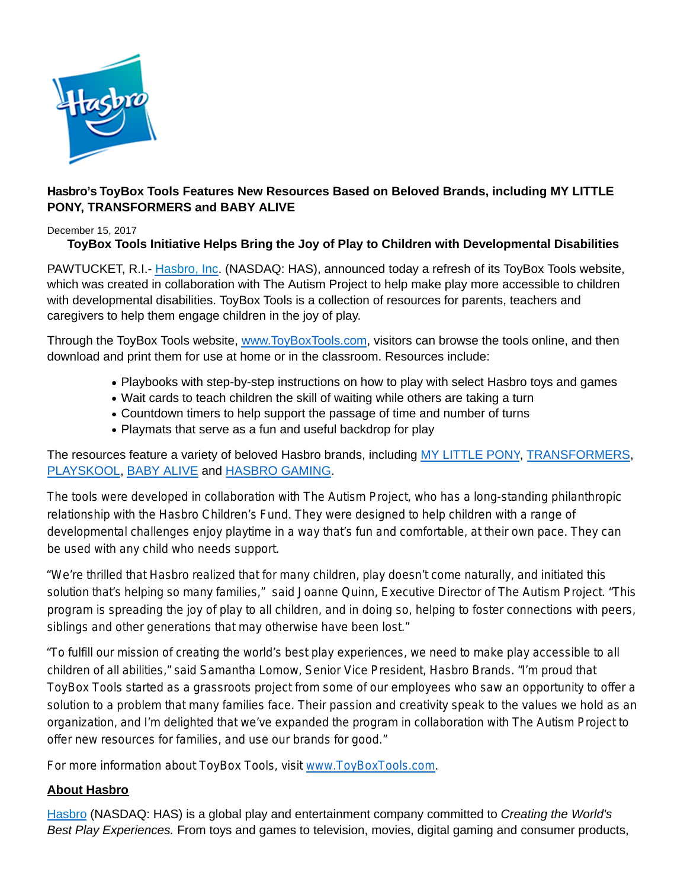

# **Hasbro's ToyBox Tools Features New Resources Based on Beloved Brands, including MY LITTLE PONY, TRANSFORMERS and BABY ALIVE**

#### December 15, 2017

# **ToyBox Tools Initiative Helps Bring the Joy of Play to Children with Developmental Disabilities**

PAWTUCKET, R.I.- [Hasbro, Inc.](http://cts.businesswire.com/ct/CT?id=smartlink&url=http%3A%2F%2Fwww.hasbro.com%2F&esheet=51544271&newsitemid=20170420006182&lan=en-US&anchor=Hasbro%2C+Inc&index=1&md5=4111c74b62e810bd7e6a7c0657f1904f) (NASDAQ: HAS), announced today a refresh of its ToyBox Tools website, which was created in collaboration with The Autism Project to help make play more accessible to children with developmental disabilities. ToyBox Tools is a collection of resources for parents, teachers and caregivers to help them engage children in the joy of play.

Through the ToyBox Tools website, [www.ToyBoxTools.com,](http://www.toyboxtools.com/) visitors can browse the tools online, and then download and print them for use at home or in the classroom. Resources include:

- Playbooks with step-by-step instructions on how to play with select Hasbro toys and games
- Wait cards to teach children the skill of waiting while others are taking a turn
- Countdown timers to help support the passage of time and number of turns
- Playmats that serve as a fun and useful backdrop for play

The resources feature a variety of beloved Hasbro brands, including [MY LITTLE PONY,](https://toyboxtools.hasbro.com/en-us/brands?brand=mylittlepony) [TRANSFORMERS,](https://toyboxtools.hasbro.com/en-us/brands?brand=transformers) [PLAYSKOOL,](https://toyboxtools.hasbro.com/en-us/brands?brand=playskool) [BABY ALIVE a](https://toyboxtools.hasbro.com/en-us/brands?brand=baby_alive)nd [HASBRO GAMING.](https://toyboxtools.hasbro.com/en-us/brands?brand=hasbrogaming)

The tools were developed in collaboration with The Autism Project, who has a long-standing philanthropic relationship with the Hasbro Children's Fund. They were designed to help children with a range of developmental challenges enjoy playtime in a way that's fun and comfortable, at their own pace. They can be used with any child who needs support.

"We're thrilled that Hasbro realized that for many children, play doesn't come naturally, and initiated this solution that's helping so many families," said Joanne Quinn, Executive Director of The Autism Project. "This program is spreading the joy of play to all children, and in doing so, helping to foster connections with peers, siblings and other generations that may otherwise have been lost."

"To fulfill our mission of creating the world's best play experiences, we need to make play accessible to all children of all abilities," said Samantha Lomow, Senior Vice President, Hasbro Brands. "I'm proud that ToyBox Tools started as a grassroots project from some of our employees who saw an opportunity to offer a solution to a problem that many families face. Their passion and creativity speak to the values we hold as an organization, and I'm delighted that we've expanded the program in collaboration with The Autism Project to offer new resources for families, and use our brands for good."

For more information about ToyBox Tools, visit [www.ToyBoxTools.com.](http://www.toyboxtools.com/)

### **About Hasbro**

[Hasbro](http://www.hasbro.com/) (NASDAQ: HAS) is a global play and entertainment company committed to Creating the World's Best Play Experiences. From toys and games to television, movies, digital gaming and consumer products,